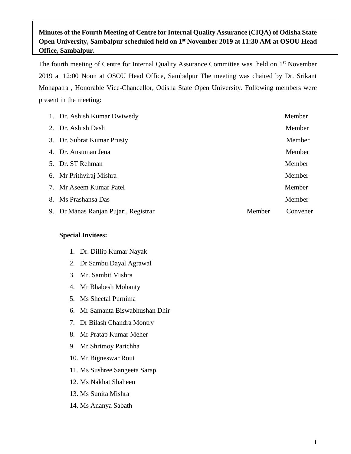## **Minutes of the Fourth Meeting of Centre for Internal Quality Assurance (CIQA) of Odisha State Open University, Sambalpur scheduled held on 1 st November 2019 at 11:30 AM at OSOU Head Office, Sambalpur.**

The fourth meeting of Centre for Internal Quality Assurance Committee was held on 1<sup>st</sup> November 2019 at 12:00 Noon at OSOU Head Office, Sambalpur The meeting was chaired by Dr. Srikant Mohapatra , Honorable Vice-Chancellor, Odisha State Open University. Following members were present in the meeting:

| 2. Dr. Ashish Dash<br>3. Dr. Subrat Kumar Prusty<br>4. Dr. Ansuman Jena<br>5. Dr. ST Rehman<br>6. Mr Prithviraj Mishra<br>7. Mr Aseem Kumar Patel<br>8. Ms Prashansa Das<br>9. Dr Manas Ranjan Pujari, Registrar<br>Member | 1. Dr. Ashish Kumar Dwiwedy | Member   |
|----------------------------------------------------------------------------------------------------------------------------------------------------------------------------------------------------------------------------|-----------------------------|----------|
|                                                                                                                                                                                                                            |                             | Member   |
|                                                                                                                                                                                                                            |                             | Member   |
|                                                                                                                                                                                                                            |                             | Member   |
|                                                                                                                                                                                                                            |                             | Member   |
|                                                                                                                                                                                                                            |                             | Member   |
|                                                                                                                                                                                                                            |                             | Member   |
|                                                                                                                                                                                                                            |                             | Member   |
|                                                                                                                                                                                                                            |                             | Convener |

#### **Special Invitees:**

- 1. Dr. Dillip Kumar Nayak
- 2. Dr Sambu Dayal Agrawal
- 3. Mr. Sambit Mishra
- 4. Mr Bhabesh Mohanty
- 5. Ms Sheetal Purnima
- 6. Mr Samanta Biswabhushan Dhir
- 7. Dr Bilash Chandra Montry
- 8. Mr Pratap Kumar Meher
- 9. Mr Shrimoy Parichha
- 10. Mr Bigneswar Rout
- 11. Ms Sushree Sangeeta Sarap
- 12. Ms Nakhat Shaheen
- 13. Ms Sunita Mishra
- 14. Ms Ananya Sabath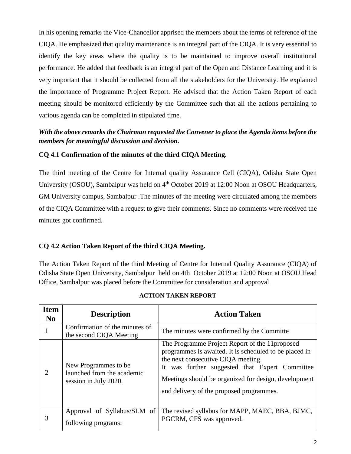In his opening remarks the Vice-Chancellor apprised the members about the terms of reference of the CIQA. He emphasized that quality maintenance is an integral part of the CIQA. It is very essential to identify the key areas where the quality is to be maintained to improve overall institutional performance. He added that feedback is an integral part of the Open and Distance Learning and it is very important that it should be collected from all the stakeholders for the University. He explained the importance of Programme Project Report. He advised that the Action Taken Report of each meeting should be monitored efficiently by the Committee such that all the actions pertaining to various agenda can be completed in stipulated time.

## *With the above remarks the Chairman requested the Convener to place the Agenda items before the members for meaningful discussion and decision.*

## **CQ 4.1 Confirmation of the minutes of the third CIQA Meeting.**

The third meeting of the Centre for Internal quality Assurance Cell (CIQA), Odisha State Open University (OSOU), Sambalpur was held on 4<sup>th</sup> October 2019 at 12:00 Noon at OSOU Headquarters, GM University campus, Sambalpur .The minutes of the meeting were circulated among the members of the CIQA Committee with a request to give their comments. Since no comments were received the minutes got confirmed.

## **CQ 4.2 Action Taken Report of the third CIQA Meeting.**

The Action Taken Report of the third Meeting of Centre for Internal Quality Assurance (CIQA) of Odisha State Open University, Sambalpur held on 4th October 2019 at 12:00 Noon at OSOU Head Office, Sambalpur was placed before the Committee for consideration and approval

| <b>Item</b><br>$\mathbf{N}\mathbf{0}$ | <b>Description</b>                                                           | <b>Action Taken</b>                                                                                                                                                                                                                                                                                   |
|---------------------------------------|------------------------------------------------------------------------------|-------------------------------------------------------------------------------------------------------------------------------------------------------------------------------------------------------------------------------------------------------------------------------------------------------|
|                                       | Confirmation of the minutes of<br>the second CIQA Meeting                    | The minutes were confirmed by the Committe                                                                                                                                                                                                                                                            |
| $\mathcal{D}_{\mathcal{L}}$           | New Programmes to be.<br>launched from the academic<br>session in July 2020. | The Programme Project Report of the 11 proposed<br>programmes is awaited. It is scheduled to be placed in<br>the next consecutive CIQA meeting.<br>It was further suggested that Expert Committee<br>Meetings should be organized for design, development<br>and delivery of the proposed programmes. |
| 3                                     | Approval of Syllabus/SLM of<br>following programs:                           | The revised syllabus for MAPP, MAEC, BBA, BJMC,<br>PGCRM, CFS was approved.                                                                                                                                                                                                                           |

#### **ACTION TAKEN REPORT**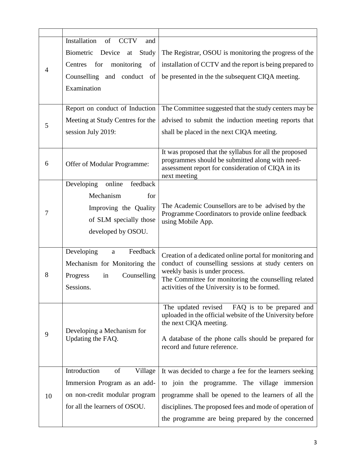|    | Installation<br>of<br><b>CCTV</b><br>and        |                                                                                                               |
|----|-------------------------------------------------|---------------------------------------------------------------------------------------------------------------|
|    | Biometric<br>Device<br>Study<br>at              | The Registrar, OSOU is monitoring the progress of the                                                         |
|    | for<br>monitoring<br>Centres<br>of              | installation of CCTV and the report is being prepared to                                                      |
| 4  | Counselling and conduct<br>of                   | be presented in the the subsequent CIQA meeting.                                                              |
|    | Examination                                     |                                                                                                               |
|    |                                                 |                                                                                                               |
|    | Report on conduct of Induction                  | The Committee suggested that the study centers may be                                                         |
| 5  | Meeting at Study Centres for the                | advised to submit the induction meeting reports that                                                          |
|    | session July 2019:                              | shall be placed in the next CIQA meeting.                                                                     |
|    |                                                 |                                                                                                               |
|    |                                                 | It was proposed that the syllabus for all the proposed                                                        |
| 6  | Offer of Modular Programme:                     | programmes should be submitted along with need-<br>assessment report for consideration of CIQA in its         |
|    |                                                 | next meeting                                                                                                  |
|    | feedback<br>Developing<br>online                |                                                                                                               |
|    | Mechanism<br>for                                |                                                                                                               |
| 7  | Improving the Quality                           | The Academic Counsellors are to be advised by the<br>Programme Coordinators to provide online feedback        |
|    | of SLM specially those                          | using Mobile App.                                                                                             |
|    | developed by OSOU.                              |                                                                                                               |
|    |                                                 |                                                                                                               |
|    | Developing<br>Feedback<br>$\mathbf{a}$          | Creation of a dedicated online portal for monitoring and                                                      |
|    | Mechanism for Monitoring the                    | conduct of counselling sessions at study centers on<br>weekly basis is under process.                         |
| 8  | Progress<br>in<br>Counselling                   | The Committee for monitoring the counselling related                                                          |
|    | Sessions.                                       | activities of the University is to be formed.                                                                 |
|    |                                                 |                                                                                                               |
|    |                                                 | FAQ is to be prepared and<br>The updated revised<br>uploaded in the official website of the University before |
|    |                                                 | the next CIQA meeting.                                                                                        |
| 9  | Developing a Mechanism for<br>Updating the FAQ. | A database of the phone calls should be prepared for                                                          |
|    |                                                 | record and future reference.                                                                                  |
|    |                                                 |                                                                                                               |
|    | Introduction<br>of<br>Village                   | It was decided to charge a fee for the learners seeking                                                       |
|    | Immersion Program as an add-                    | to join the programme. The village immersion                                                                  |
| 10 | on non-credit modular program                   | programme shall be opened to the learners of all the                                                          |
|    | for all the learners of OSOU.                   | disciplines. The proposed fees and mode of operation of                                                       |
|    |                                                 | the programme are being prepared by the concerned                                                             |
|    |                                                 |                                                                                                               |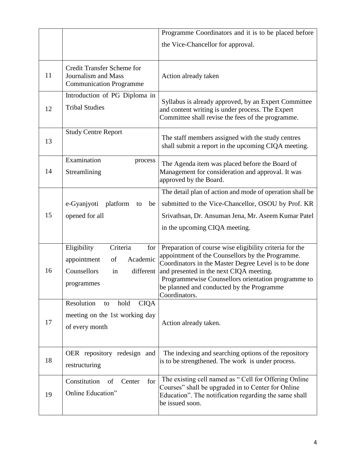|    |                                                                                                                 | Programme Coordinators and it is to be placed before                                                                                                                                                                                                                                                                                |
|----|-----------------------------------------------------------------------------------------------------------------|-------------------------------------------------------------------------------------------------------------------------------------------------------------------------------------------------------------------------------------------------------------------------------------------------------------------------------------|
|    |                                                                                                                 | the Vice-Chancellor for approval.                                                                                                                                                                                                                                                                                                   |
|    |                                                                                                                 |                                                                                                                                                                                                                                                                                                                                     |
| 11 | <b>Credit Transfer Scheme for</b><br>Journalism and Mass<br><b>Communication Programme</b>                      | Action already taken                                                                                                                                                                                                                                                                                                                |
| 12 | Introduction of PG Diploma in<br><b>Tribal Studies</b>                                                          | Syllabus is already approved, by an Expert Committee<br>and content writing is under process. The Expert<br>Committee shall revise the fees of the programme.                                                                                                                                                                       |
| 13 | <b>Study Centre Report</b>                                                                                      | The staff members assigned with the study centres<br>shall submit a report in the upcoming CIQA meeting.                                                                                                                                                                                                                            |
| 14 | Examination<br>process<br>Streamlining                                                                          | The Agenda item was placed before the Board of<br>Management for consideration and approval. It was<br>approved by the Board.                                                                                                                                                                                                       |
| 15 | e-Gyanjyoti<br>platform<br>be<br>to<br>opened for all                                                           | The detail plan of action and mode of operation shall be<br>submitted to the Vice-Chancellor, OSOU by Prof. KR<br>Srivathsan, Dr. Ansuman Jena, Mr. Aseem Kumar Patel<br>in the upcoming CIQA meeting.                                                                                                                              |
| 16 | Criteria<br>Eligibility<br>for<br>Academic<br>appointment<br>of<br>Counsellors<br>different<br>in<br>programmes | Preparation of course wise eligibility criteria for the<br>appointment of the Counsellors by the Programme.<br>Coordinators in the Master Degree Level is to be done<br>and presented in the next CIQA meeting.<br>Programmewise Counsellors orientation programme to<br>be planned and conducted by the Programme<br>Coordinators. |
| 17 | Resolution<br>hold<br><b>CIQA</b><br>to<br>meeting on the 1st working day<br>of every month                     | Action already taken.                                                                                                                                                                                                                                                                                                               |
| 18 | OER repository redesign and<br>restructuring                                                                    | The indexing and searching options of the repository<br>is to be strengthened. The work is under process.                                                                                                                                                                                                                           |
| 19 | Constitution<br>for<br>Center<br>of<br>Online Education"                                                        | The existing cell named as "Cell for Offering Online<br>Courses" shall be upgraded in to Center for Online<br>Education". The notification regarding the same shall<br>be issued soon.                                                                                                                                              |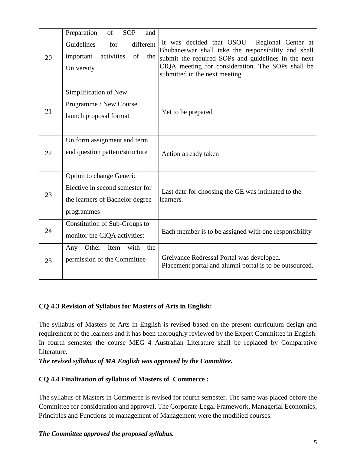| 20 | of<br>Preparation<br><b>SOP</b><br>and<br>different<br>Guidelines<br>for<br>activities<br>of<br>important<br>the<br>University | It was decided that OSOU<br>Regional Center at<br>Bhubaneswar shall take the responsibility and shall<br>submit the required SOPs and guidelines in the next<br>CIQA meeting for consideration. The SOPs shall be<br>submitted in the next meeting. |
|----|--------------------------------------------------------------------------------------------------------------------------------|-----------------------------------------------------------------------------------------------------------------------------------------------------------------------------------------------------------------------------------------------------|
| 21 | Simplification of New<br>Programme / New Course<br>launch proposal format                                                      | Yet to be prepared                                                                                                                                                                                                                                  |
| 22 | Uniform assignment and term<br>end question pattern/structure                                                                  | Action already taken                                                                                                                                                                                                                                |
| 23 | Option to change Generic<br>Elective in second semester for<br>the learners of Bachelor degree<br>programmes                   | Last date for choosing the GE was intimated to the<br>learners.                                                                                                                                                                                     |
| 24 | Constitution of Sub-Groups to<br>monitor the CIQA activities:                                                                  | Each member is to be assigned with one responsibility                                                                                                                                                                                               |
| 25 | Other<br>with<br>the<br>Any<br>Item<br>permission of the Committee                                                             | Greivance Redressal Portal was developed.<br>Placement portal and alumni portal is to be outsourced.                                                                                                                                                |

## **CQ 4.3 Revision of Syllabus for Masters of Arts in English:**

The syllabus of Masters of Arts in English is revised based on the present curriculum design and requirement of the learners and it has been thoroughly reviewed by the Expert Committee in English. In fourth semester the course MEG 4 Australian Literature shall be replaced by Comparative Literature.

*The revised syllabus of MA English was approved by the Committee.*

#### **CQ 4.4 Finalization of syllabus of Masters of Commerce :**

The syllabus of Masters in Commerce is revised for fourth semester. The same was placed before the Committee for consideration and approval. The Corporate Legal Framework, Managerial Economics, Principles and Functions of management of Management were the modified courses.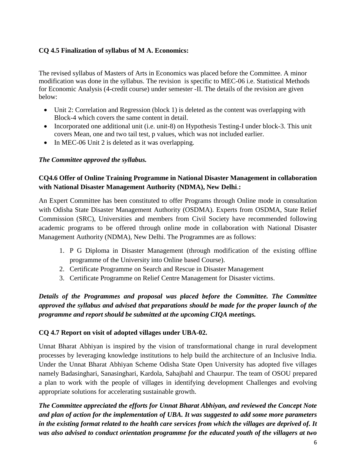#### **CQ 4.5 Finalization of syllabus of M A. Economics:**

The revised syllabus of Masters of Arts in Economics was placed before the Committee. A minor modification was done in the syllabus. The revision is specific to MEC-06 i.e. Statistical Methods for Economic Analysis (4-credit course) under semester -II. The details of the revision are given below:

- Unit 2: Correlation and Regression (block 1) is deleted as the content was overlapping with Block-4 which covers the same content in detail.
- Incorporated one additional unit (i.e. unit-8) on Hypothesis Testing-I under block-3. This unit covers Mean, one and two tail test, p values, which was not included earlier.
- In MEC-06 Unit 2 is deleted as it was overlapping.

#### *The Committee approved the syllabus.*

#### **CQ4.6 Offer of Online Training Programme in National Disaster Management in collaboration with National Disaster Management Authority (NDMA), New Delhi**.**:**

An Expert Committee has been constituted to offer Programs through Online mode in consultation with Odisha State Disaster Management Authority (OSDMA). Experts from OSDMA, State Relief Commission (SRC), Universities and members from Civil Society have recommended following academic programs to be offered through online mode in collaboration with National Disaster Management Authority (NDMA), New Delhi. The Programmes are as follows:

- 1. P G Diploma in Disaster Management (through modification of the existing offline programme of the University into Online based Course).
- 2. Certificate Programme on Search and Rescue in Disaster Management
- 3. Certificate Programme on Relief Centre Management for Disaster victims.

*Details of the Programmes and proposal was placed before the Committee. The Committee approved the syllabus and advised that preparations should be made for the proper launch of the programme and report should be submitted at the upcoming CIQA meetings.*

#### **CQ 4.7 Report on visit of adopted villages under UBA-02.**

Unnat Bharat Abhiyan is inspired by the vision of transformational change in rural development processes by leveraging knowledge institutions to help build the architecture of an Inclusive India. Under the Unnat Bharat Abhiyan Scheme Odisha State Open University has adopted five villages namely Badasinghari, Sanasinghari, Kardola, Sahajbahl and Chaurpur. The team of OSOU prepared a plan to work with the people of villages in identifying development Challenges and evolving appropriate solutions for accelerating sustainable growth.

*The Committee appreciated the efforts for Unnat Bharat Abhiyan, and reviewed the Concept Note and plan of action for the implementation of UBA. It was suggested to add some more parameters in the existing format related to the health care services from which the villages are deprived of. It was also advised to conduct orientation programme for the educated youth of the villagers at two*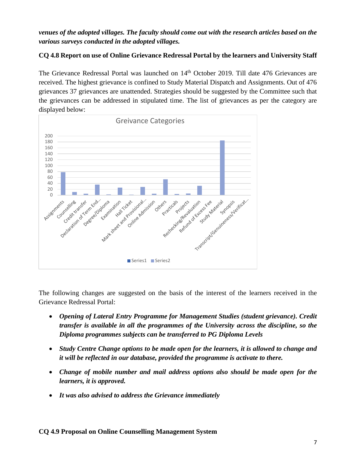#### *venues of the adopted villages. The faculty should come out with the research articles based on the various surveys conducted in the adopted villages.*

#### **CQ 4.8 Report on use of Online Grievance Redressal Portal by the learners and University Staff**

The Grievance Redressal Portal was launched on 14<sup>th</sup> October 2019. Till date 476 Grievances are received. The highest grievance is confined to Study Material Dispatch and Assignments. Out of 476 grievances 37 grievances are unattended. Strategies should be suggested by the Committee such that the grievances can be addressed in stipulated time. The list of grievances as per the category are displayed below:



The following changes are suggested on the basis of the interest of the learners received in the Grievance Redressal Portal:

- *Opening of Lateral Entry Programme for Management Studies (student grievance). Credit transfer is available in all the programmes of the University across the discipline, so the Diploma programmes subjects can be transferred to PG Diploma Levels*
- *Study Centre Change options to be made open for the learners, it is allowed to change and it will be reflected in our database, provided the programme is activate to there.*
- *Change of mobile number and mail address options also should be made open for the learners, it is approved.*
- *It was also advised to address the Grievance immediately*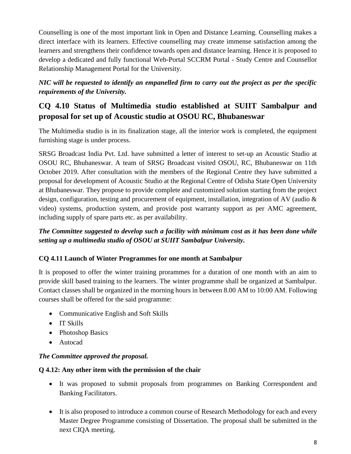Counselling is one of the most important link in Open and Distance Learning. Counselling makes a direct interface with its learners. Effective counselling may create immense satisfaction among the learners and strengthens their confidence towards open and distance learning. Hence it is proposed to develop a dedicated and fully functional Web-Portal SCCRM Portal - Study Centre and Counsellor Relationship Management Portal for the University.

*NIC will be requested to identify an empanelled firm to carry out the project as per the specific requirements of the University.*

# **CQ 4.10 Status of Multimedia studio established at SUIIT Sambalpur and proposal for set up of Acoustic studio at OSOU RC, Bhubaneswar**

The Multimedia studio is in its finalization stage, all the interior work is completed, the equipment furnishing stage is under process.

SRSG Broadcast India Pvt. Ltd. have submitted a letter of interest to set-up an Acoustic Studio at OSOU RC, Bhubaneswar. A team of SRSG Broadcast visited OSOU, RC, Bhubaneswar on 11th October 2019. After consultation with the members of the Regional Centre they have submitted a proposal for development of Acoustic Studio at the Regional Centre of Odisha State Open University at Bhubaneswar. They propose to provide complete and customized solution starting from the project design, configuration, testing and procurement of equipment, installation, integration of AV (audio & video) systems, production system, and provide post warranty support as per AMC agreement, including supply of spare parts etc. as per availability.

# *The Committee suggested to develop such a facility with minimum cost as it has been done while setting up a multimedia studio of OSOU at SUIIT Sambalpur University.*

## **CQ 4.11 Launch of Winter Programmes for one month at Sambalpur**

It is proposed to offer the winter training prorammes for a duration of one month with an aim to provide skill based training to the learners. The winter programme shall be organized at Sambalpur. Contact classes shall be organized in the morning hours in between 8.00 AM to 10:00 AM. Following courses shall be offered for the said programme:

- Communicative English and Soft Skills
- IT Skills
- Photoshop Basics
- Autocad

## *The Committee approved the proposal.*

## **Q 4.12: Any other item with the permission of the chair**

- It was proposed to submit proposals from programmes on Banking Correspondent and Banking Facilitators.
- It is also proposed to introduce a common course of Research Methodology for each and every Master Degree Programme consisting of Dissertation. The proposal shall be submitted in the next CIQA meeting.